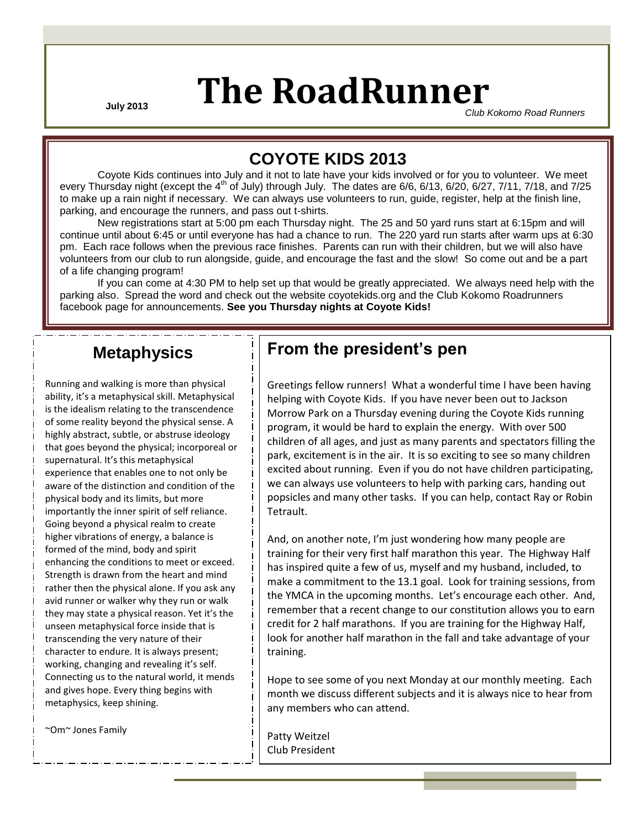# **July 2013 The RoadRunner**

*Club Kokomo Road Runners*

### **COYOTE KIDS 2013**

Coyote Kids continues into July and it not to late have your kids involved or for you to volunteer. We meet every Thursday night (except the  $4<sup>th</sup>$  of July) through July. The dates are  $6/6$ ,  $6/13$ ,  $6/20$ ,  $6/27$ ,  $7/11$ ,  $7/18$ , and  $7/25$ to make up a rain night if necessary. We can always use volunteers to run, guide, register, help at the finish line, parking, and encourage the runners, and pass out t-shirts.

New registrations start at 5:00 pm each Thursday night. The 25 and 50 yard runs start at 6:15pm and will continue until about 6:45 or until everyone has had a chance to run. The 220 yard run starts after warm ups at 6:30 pm. Each race follows when the previous race finishes. Parents can run with their children, but we will also have volunteers from our club to run alongside, guide, and encourage the fast and the slow! So come out and be a part of a life changing program!

If you can come at 4:30 PM to help set up that would be greatly appreciated. We always need help with the parking also. Spread the word and check out the website coyotekids.org and the Club Kokomo Roadrunners facebook page for announcements. **See you Thursday nights at Coyote Kids!**

### **Metaphysics**

Running and walking is more than physical ability, it's a metaphysical skill. Metaphysical is the idealism relating to the transcendence of some reality beyond the physical sense. A highly abstract, subtle, or abstruse ideology that goes beyond the physical; incorporeal or supernatural. It's this metaphysical experience that enables one to not only be aware of the distinction and condition of the physical body and its limits, but more importantly the inner spirit of self reliance. Going beyond a physical realm to create higher vibrations of energy, a balance is formed of the mind, body and spirit enhancing the conditions to meet or exceed. Strength is drawn from the heart and mind rather then the physical alone. If you ask any avid runner or walker why they run or walk they may state a physical reason. Yet it's the unseen metaphysical force inside that is transcending the very nature of their character to endure. It is always present; working, changing and revealing it's self. Connecting us to the natural world, it mends and gives hope. Every thing begins with metaphysics, keep shining.

~Om~ Jones Family

### **From the president's pen**

Greetings fellow runners! What a wonderful time I have been having helping with Coyote Kids. If you have never been out to Jackson Morrow Park on a Thursday evening during the Coyote Kids running program, it would be hard to explain the energy. With over 500 children of all ages, and just as many parents and spectators filling the park, excitement is in the air. It is so exciting to see so many children excited about running. Even if you do not have children participating, we can always use volunteers to help with parking cars, handing out popsicles and many other tasks. If you can help, contact Ray or Robin Tetrault.

And, on another note, I'm just wondering how many people are training for their very first half marathon this year. The Highway Half has inspired quite a few of us, myself and my husband, included, to make a commitment to the 13.1 goal. Look for training sessions, from the YMCA in the upcoming months. Let's encourage each other. And, remember that a recent change to our constitution allows you to earn credit for 2 half marathons. If you are training for the Highway Half, look for another half marathon in the fall and take advantage of your training.

Hope to see some of you next Monday at our monthly meeting. Each month we discuss different subjects and it is always nice to hear from any members who can attend.

Patty Weitzel Club President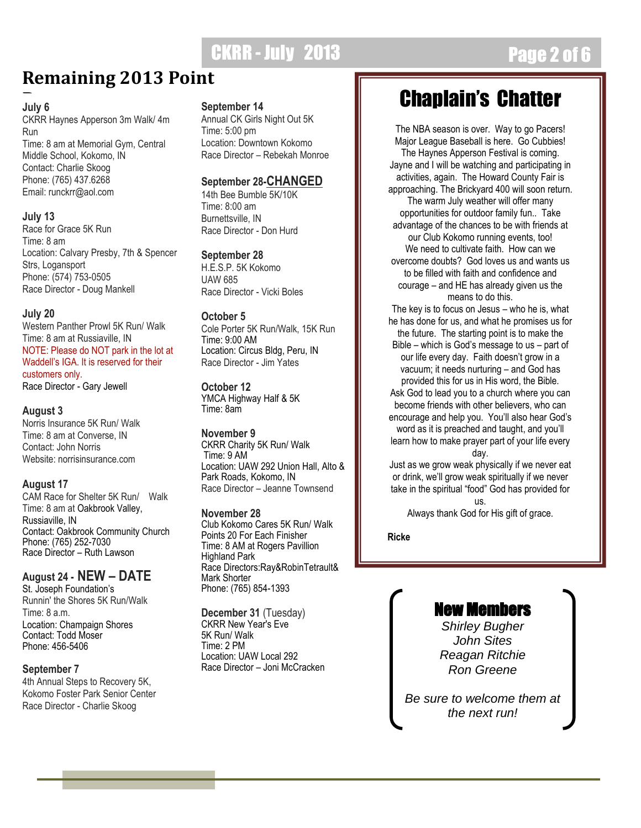## **CKRR - July 2013 Page 2 of 6**

### **Remaining 2013 Point**

#### **July 6**

CKRR Haynes Apperson 3m Walk/ 4m Run Time: 8 am at Memorial Gym, Central Middle School, Kokomo, IN Contact: Charlie Skoog Phone: (765) 437.6268 Email: runckrr@aol.com

#### **July 13**

Race for Grace 5K Run Time: 8 am Location: Calvary Presby, 7th & Spencer Strs, Logansport Phone: (574) 753-0505 Race Director - Doug Mankell

#### **July 20**

Western Panther Prowl 5K Run/ Walk Time: 8 am at Russiaville, IN NOTE: Please do NOT park in the lot at Waddell's IGA. It is reserved for their customers only. Race Director - Gary Jewell

#### **August 3**

Norris Insurance 5K Run/ Walk Time: 8 am at Converse, IN Contact: John Norris Website: norrisinsurance.com

#### **August 17**

CAM Race for Shelter 5K Run/ Walk Time: 8 am at Oakbrook Valley, Russiaville, IN Contact: Oakbrook Community Church Phone: (765) 252-7030 Race Director – Ruth Lawson

#### **August 24 - NEW – DATE**

St. Joseph Foundation's Runnin' the Shores 5K Run/Walk Time: 8 a.m. Location: Champaign Shores Contact: Todd Moser Phone: 456-5406

#### **September 7**

4th Annual Steps to Recovery 5K, Kokomo Foster Park Senior Center Race Director - Charlie Skoog

#### **September 14**

Annual CK Girls Night Out 5K Time: 5:00 pm Location: Downtown Kokomo Race Director – Rebekah Monroe

#### **September 28-CHANGED**

14th Bee Bumble 5K/10K Time: 8:00 am Burnettsville, IN Race Director - Don Hurd

**September 28**

H.E.S.P. 5K Kokomo UAW 685 Race Director - Vicki Boles

#### **October 5**

Cole Porter 5K Run/Walk, 15K Run Time: 9:00 AM Location: Circus Bldg, Peru, IN Race Director - Jim Yates

#### **October 12**

YMCA Highway Half & 5K Time: 8am

#### **November 9**

CKRR Charity 5K Run/ Walk Time: 9 AM Location: UAW 292 Union Hall, Alto & Park Roads, Kokomo, IN Race Director – Jeanne Townsend

#### **November 28**

Club Kokomo Cares 5K Run/ Walk Points 20 For Each Finisher Time: 8 AM at Rogers Pavillion Highland Park Race Directors:Ray&RobinTetrault& Mark Shorter Phone: (765) 854-1393

**December 31** (Tuesday) CKRR New Year's Eve 5K Run/ Walk Time: 2 PM Location: UAW Local 292 Race Director – Joni McCracken

## Chaplain's Chatter

The NBA season is over. Way to go Pacers! Major League Baseball is here. Go Cubbies! The Haynes Apperson Festival is coming. Jayne and I will be watching and participating in activities, again. The Howard County Fair is approaching. The Brickyard 400 will soon return. The warm July weather will offer many opportunities for outdoor family fun.. Take advantage of the chances to be with friends at our Club Kokomo running events, too! We need to cultivate faith. How can we overcome doubts? God loves us and wants us to be filled with faith and confidence and courage – and HE has already given us the means to do this.

The key is to focus on Jesus – who he is, what he has done for us, and what he promises us for the future. The starting point is to make the Bible – which is God's message to us – part of our life every day. Faith doesn't grow in a vacuum; it needs nurturing – and God has provided this for us in His word, the Bible. Ask God to lead you to a church where you can become friends with other believers, who can encourage and help you. You'll also hear God's word as it is preached and taught, and you'll learn how to make prayer part of your life every day.

Just as we grow weak physically if we never eat or drink, we'll grow weak spiritually if we never take in the spiritual "food" God has provided for us.

Always thank God for His gift of grace.

**Ricke**

### New Members

*Shirley Bugher John Sites Reagan Ritchie Ron Greene*

*Be sure to welcome them at the next run!*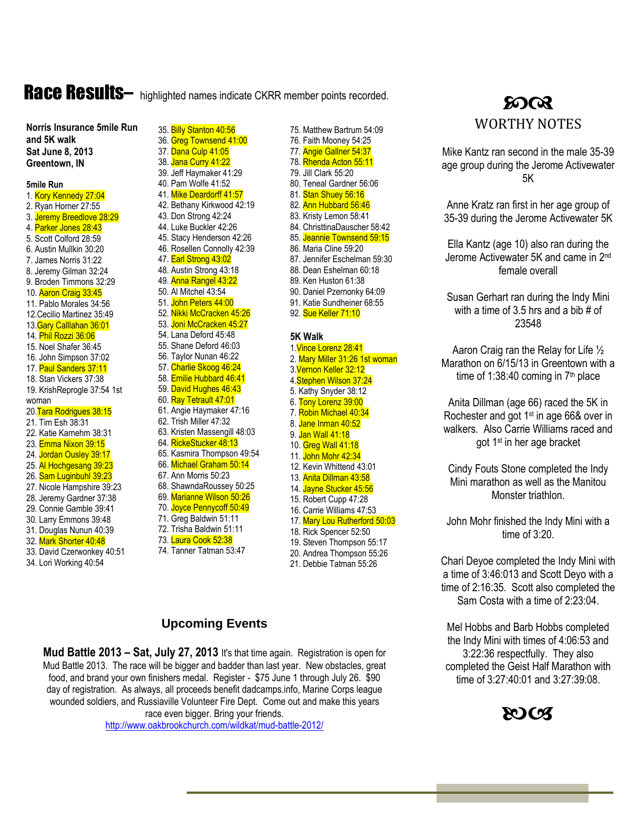## Race Results- highlighted names indicate CKRR member points recorded.<br>
SOCR

**Norris Insurance 5mile Run and 5K walk Sat June 8, 2013 Greentown, IN**

#### **5mile Run**

1. Kory Kennedy 27:04 2. Ryan Horner 27:55 3. Jeremy Breedlove 28:29 4. Parker Jones 28:43 5. Scott Colford 28:59 6. Austin Mullkin 30:20 7. James Norris 31:22 8. Jeremy Gilman 32:24 9. Broden Timmons 32:29 10. Aaron Craig 33:45 11. Pablo Morales 34:56 12.Cecilio Martinez 35:49 13.Gary Calllahan 36:01 14. Phil Rozzi 36:06 15. Noel Shafer 36:45 16. John Simpson 37:02 17. Paul Sanders 37:11 18. Stan Vickers 37:38 19. KrishReprogle 37:54 1st woman 20. Tara Rodrigues 38:15 21. Tim Esh 38:31 22. Katie Karnehm 38:31 23. Emma Nixon 39:15 24. Jordan Ousley 39:17 25. Al Hochgesang 39:23 26. Sam Luginbuhl 39:23 27. Nicole Hampshire 39:23 28. Jeremy Gardner 37:38 29. Connie Gamble 39:41 30. Larry Emmons 39:48 31. Douglas Nunun 40:39 32. Mark Shorter 40:48

33. David Czerwonkey 40:51 34. Lori Working 40:54

35. Billy Stanton 40:56 36. Greg Townsend 41:00 37. Dana Culp 41:05 38. Jana Curry 41:22 39. Jeff Haymaker 41:29 40. Pam Wolfe 41:52 41. Mike Deardorff 41:57 42. Bethany Kirkwood 42:19 43. Don Strong 42:24 44. Luke Buckler 42:26 45. Stacy Henderson 42:26 46. Rosellen Connolly 42:39 47. Earl Strong 43:02 48. Austin Strong 43:18 49. Anna Rangel 43:22 50. Al Mitchel 43:54 51. John Peters 44:00 52. Nikki McCracken 45:26 53. Joni McCracken 45:27 54. Lana Deford 45:48 55. Shane Deford 46:03 56. Taylor Nunan 46:22 57. Charlie Skoog 46:24 58. Emilie Hubbard 46:41 59. David Hughes 46:43 60. Ray Tetrault 47:01 61. Angie Haymaker 47:16 62. Trish Miller 47:32 63. Kristen Massengill 48:03 64. RickeStucker 48:13 65. Kasmira Thompson 49:54 66. Michael Graham 50:14 67. Ann Morris 50:23 68. ShawndaRoussey 50:25 69. Marianne Wilson 50:26 70. Joyce Pennycoff 50:49 71. Greg Baldwin 51:11 72. Trisha Baldwin 51:11 73. Laura Cook 52:38

81. Stan Shuey 56:16 82. Ann Hubbard 56:46 83. Kristy Lemon 58:41 84. ChristtinaDauscher 58:42 85. Jeannie Townsend 59:15 86. Maria Cline 59:20 87. Jennifer Eschelman 59:30 88. Dean Eshelman 60:18 89. Ken Huston 61:38 90. Daniel Pzernonky 64:09 91. Katie Sundheiner 68:55 92. Sue Keller 71:10 **5K Walk** 1.Vince Lorenz 28:41 2. Mary Miller 31:26 1st woman 3.Vernon Keller 32:12 4.Stephen Wilson 37:24 5. Kathy Snyder 38:12 6. Tony Lorenz 39:00 7. Robin Michael 40:34 8. Jane Inman 40:52 9. Jan Wall 41:18 10. Greg Wall 41:18 11. John Mohr 42:34 12. Kevin Whittend 43:01 13. Anita Dillman 43:58 14. Jayne Stucker 45:56 15. Robert Cupp 47:28 16. Carrie Williams 47:53 17. Mary Lou Rutherford 50:03 18. Rick Spencer 52:50

75. Matthew Bartrum 54:09 76. Faith Mooney 54:25 77. Angie Gallner 54:37 78. Rhenda Acton 55:11 79. Jill Clark 55:20 80. Teneal Gardner 56:06

- 19. Steven Thompson 55:17
- 20. Andrea Thompson 55:26
- 21. Debbie Tatman 55:26

### **Upcoming Events**

74. Tanner Tatman 53:47

**Mud Battle 2013 – Sat, July 27, 2013** It's that time again. Registration is open for Mud Battle 2013. The race will be bigger and badder than last year. New obstacles, great food, and brand your own finishers medal. Register - \$75 June 1 through July 26. \$90 day of registration. As always, all proceeds benefit dadcamps.info, Marine Corps league wounded soldiers, and Russiaville Volunteer Fire Dept. Come out and make this years race even bigger. Bring your friends. <http://www.oakbrookchurch.com/wildkat/mud-battle-2012/>

WORTHY NOTES

Mike Kantz ran second in the male 35-39 age group during the Jerome Activewater 5K

Anne Kratz ran first in her age group of 35-39 during the Jerome Activewater 5K

Ella Kantz (age 10) also ran during the Jerome Activewater 5K and came in 2<sup>nd</sup> female overall

Susan Gerhart ran during the Indy Mini with a time of 3.5 hrs and a bib # of 23548

Aaron Craig ran the Relay for Life ½ Marathon on 6/15/13 in Greentown with a time of 1:38:40 coming in  $7<sup>th</sup>$  place

Anita Dillman (age 66) raced the 5K in Rochester and got 1<sup>st</sup> in age 66& over in walkers. Also Carrie Williams raced and got 1st in her age bracket

Cindy Fouts Stone completed the Indy Mini marathon as well as the Manitou Monster triathlon.

John Mohr finished the Indy Mini with a time of 3:20.

Chari Deyoe completed the Indy Mini with a time of 3:46:013 and Scott Deyo with a time of 2:16:35. Scott also completed the Sam Costa with a time of 2:23:04.

Mel Hobbs and Barb Hobbs completed the Indy Mini with times of 4:06:53 and 3:22:36 respectfully. They also completed the Geist Half Marathon with time of 3:27:40:01 and 3:27:39:08.

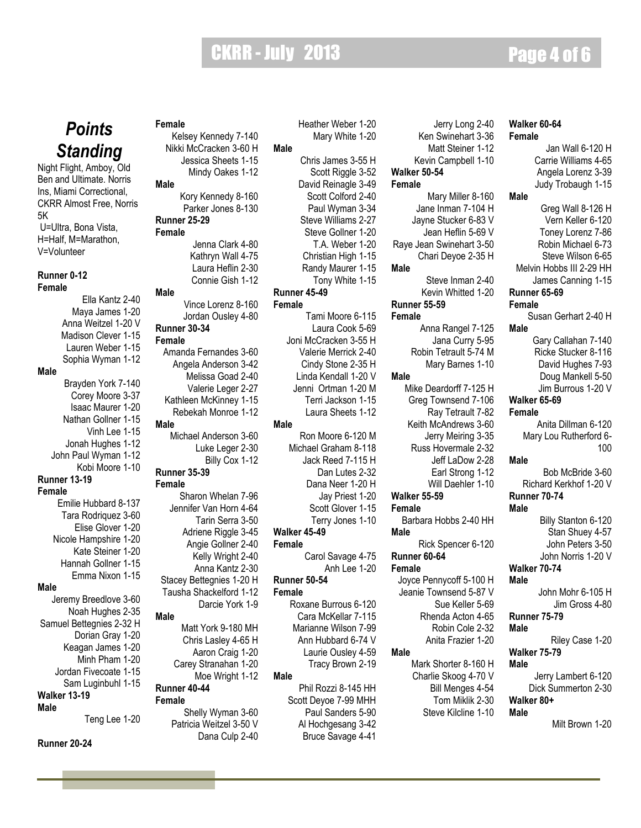### CKRR - July 2013 Page 4 of 6

**Male**

### *Points Standing*

Night Flight, Amboy, Old Ben and Ultimate. Norris Ins, Miami Correctional, CKRR Almost Free, Norris 5K U=Ultra, Bona Vista, H=Half, M=Marathon, V=Volunteer

#### **Runner 0-12**

#### **Female**

**Male**

Ella Kantz 2-40 Maya James 1-20 Anna Weitzel 1-20 V Madison Clever 1-15 Lauren Weber 1-15 Sophia Wyman 1-12 Brayden York 7-140 Corey Moore 3-37 Isaac Maurer 1-20 Nathan Gollner 1-15 Vinh Lee 1-15 Jonah Hughes 1-12 John Paul Wyman 1-12 Kobi Moore 1-10 **Runner 13-19 Female** Emilie Hubbard 8-137 Tara Rodriquez 3-60 Elise Glover 1-20 Nicole Hampshire 1-20 Kate Steiner 1-20 Hannah Gollner 1-15 Emma Nixon 1-15 Jeremy Breedlove 3-60 Noah Hughes 2-35 Samuel Bettegnies 2-32 H Dorian Gray 1-20 Keagan James 1-20 Minh Pham 1-20 Jordan Fivecoate 1-15 Sam Luginbuhl 1-15 **Walker 13-19 Male Male Female**

#### **Runner 20-24**

**Female** Kelsey Kennedy 7-140

Nikki McCracken 3-60 H Jessica Sheets 1-15 Mindy Oakes 1-12 **Male** Kory Kennedy 8-160 Parker Jones 8-130

### **Runner 25-29**

**Female** Jenna Clark 4-80 Kathryn Wall 4-75 Laura Heflin 2-30 Connie Gish 1-12

#### **Male**

Vince Lorenz 8-160 Jordan Ousley 4-80 **Runner 30-34**

**Female** Amanda Fernandes 3-60 Angela Anderson 3-42 Melissa Goad 2-40 Valerie Leger 2-27 Kathleen McKinney 1-15 Rebekah Monroe 1-12 Michael Anderson 3-60 Luke Leger 2-30 Billy Cox 1-12 **Runner 35-39 Female** Sharon Whelan 7-96 Jennifer Van Horn 4-64 Tarin Serra 3-50 Adriene Riggle 3-45 Angie Gollner 2-40 Kelly Wright 2-40 Anna Kantz 2-30

### Stacey Bettegnies 1-20 H Tausha Shackelford 1-12

- 
- 
- 
- 

#### **Male**

**Male**

Teng Lee 1-20

### Darcie York 1-9 Matt York 9-180 MH Chris Lasley 4-65 H Aaron Craig 1-20 Carey Stranahan 1-20 Moe Wright 1-12 **Runner 40-44** Shelly Wyman 3-60

Patricia Weitzel 3-50 V Dana Culp 2-40 Heather Weber 1-20 Mary White 1-20

Chris James 3-55 H Scott Riggle 3-52 David Reinagle 3-49 Scott Colford 2-40 Paul Wyman 3-34 Steve Williams 2-27 Steve Gollner 1-20 T.A. Weber 1-20 Christian High 1-15 Randy Maurer 1-15 Tony White 1-15

#### **Runner 45-49 Female**

Tami Moore 6-115 Laura Cook 5-69 Joni McCracken 3-55 H Valerie Merrick 2-40 Cindy Stone 2-35 H Linda Kendall 1-20 V Jenni Ortman 1-20 M Terri Jackson 1-15 Laura Sheets 1-12

#### **Male**

Ron Moore 6-120 M Michael Graham 8-118 Jack Reed 7-115 H Dan Lutes 2-32 Dana Neer 1-20 H Jay Priest 1-20 Scott Glover 1-15 Terry Jones 1-10 **Walker 45-49 Female** Carol Savage 4-75 Anh Lee 1-20 **Runner 50-54**

#### **Female**

Roxane Burrous 6-120 Cara McKellar 7-115 Marianne Wilson 7-99 Ann Hubbard 6-74 V Laurie Ousley 4-59 Tracy Brown 2-19

#### **Male** Phil Rozzi 8-145 HH Scott Deyoe 7-99 MHH

Paul Sanders 5-90 Al Hochgesang 3-42 Bruce Savage 4-41

| Jerry Long 2-40<br>Ken Swinehart 3-36<br>Matt Steiner 1-12<br>Kevin Campbell 1-10<br><b>Walker 50-54</b>                                |
|-----------------------------------------------------------------------------------------------------------------------------------------|
| Female                                                                                                                                  |
| Mary Miller 8-160<br>Jane Inman 7-104 H<br>Jayne Stucker 6-83 V<br>Jean Heflin 5-69 V<br>Raye Jean Swinehart 3-50<br>Chari Deyoe 2-35 H |
| Male                                                                                                                                    |
| Steve Inman 2-40                                                                                                                        |
| Kevin Whitted 1-20                                                                                                                      |
| Runner 55-59                                                                                                                            |
| Female                                                                                                                                  |

Anna Rangel 7-125 Jana Curry 5-95 Robin Tetrault 5-74 M Mary Barnes 1-10 **Male** Mike Deardorff 7-125 H Greg Townsend 7-106 Ray Tetrault 7-82 Keith McAndrews 3-60 Jerry Meiring 3-35 Russ Hovermale 2-32 Jeff LaDow 2-28

- Earl Strong 1-12
- Will Daehler 1-10

#### **Walker 55-59**

**Female** Barbara Hobbs 2-40 HH **Male** Rick Spencer 6-120 **Runner 60-64 Female**

Joyce Pennycoff 5-100 H Jeanie Townsend 5-87 V Sue Keller 5-69 Rhenda Acton 4-65 Robin Cole 2-32 Anita Frazier 1-20

#### **Male**

Mark Shorter 8-160 H Charlie Skoog 4-70 V Bill Menges 4-54 Tom Miklik 2-30 Steve Kilcline 1-10

#### **Walker 60-64 Female** Jan Wall 6-120 H

Carrie Williams 4-65 Angela Lorenz 3-39 Judy Trobaugh 1-15 **Male** Greg Wall 8-126 H Vern Keller 6-120 Toney Lorenz 7-86 Robin Michael 6-73 Steve Wilson 6-65 Melvin Hobbs III 2-29 HH James Canning 1-15 **Runner 65-69 Female** Susan Gerhart 2-40 H **Male**

Gary Callahan 7-140 Ricke Stucker 8-116 David Hughes 7-93 Doug Mankell 5-50 Jim Burrous 1-20 V

#### **Walker 65-69 Female**

Anita Dillman 6-120 Mary Lou Rutherford 6- 100

#### **Male**

Bob McBride 3-60 Richard Kerkhof 1-20 V **Runner 70-74**

#### **Male**

Billy Stanton 6-120 Stan Shuey 4-57 John Peters 3-50 John Norris 1-20 V **Walker 70-74**

#### **Male**

John Mohr 6-105 H Jim Gross 4-80

#### **Runner 75-79**

**Male**

Riley Case 1-20 **Walker 75-79**

#### **Male**

Jerry Lambert 6-120 Dick Summerton 2-30 **Walker 80+ Male**

Milt Brown 1-20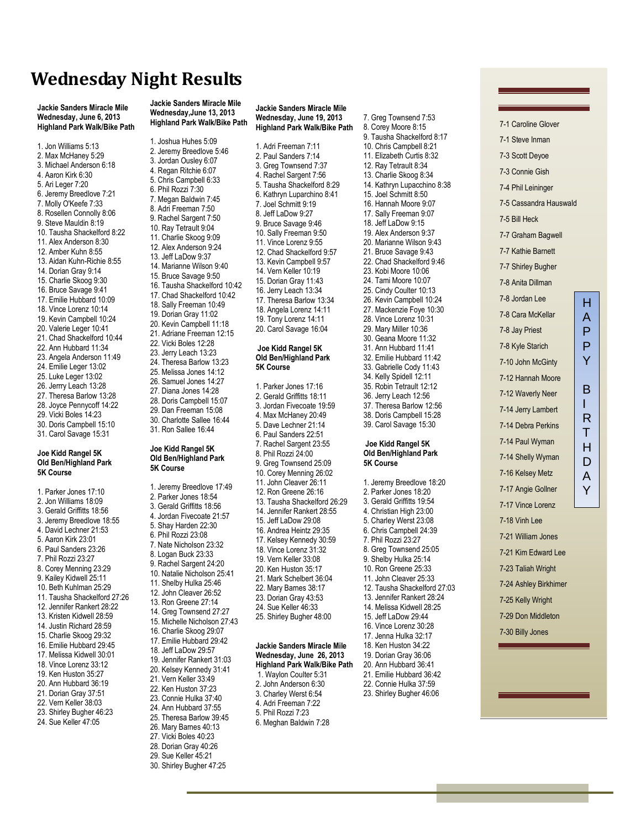### **Wednesday Night Results**

**Jackie Sanders Miracle Mile Wednesday, June 6, 2013 Highland Park Walk/Bike Path**

1. Jon Williams 5:13 2. Max McHaney 5:29 3. Michael Anderson 6:18 4. Aaron Kirk 6:30 5. Ari Leger 7:20 6. Jeremy Breedlove 7:21 7. Molly O'Keefe 7:33 8. Rosellen Connolly 8:06 9. Steve Mauldin 8:19 10. Tausha Shackelford 8:22 11. Alex Anderson 8:30 12. Amber Kuhn 8:55 13. Aidan Kuhn-Richie 8:55 14. Dorian Gray 9:14 15. Charlie Skoog 9:30 16. Bruce Savage 9:41 17. Emilie Hubbard 10:09 18. Vince Lorenz 10:14 19. Kevin Campbell 10:24 20. Valerie Leger 10:41 21. Chad Shackelford 10:44 22. Ann Hubbard 11:34 23. Angela Anderson 11:49 24. Emilie Leger 13:02 25. Luke Leger 13:02 26. Jerrry Leach 13:28 27. Theresa Barlow 13:28 28. Joyce Pennycoff 14:22 29. Vicki Boles 14:23 30. Doris Campbell 15:10

#### **Joe Kidd Rangel 5K Old Ben/Highland Park 5K Course**

31. Carol Savage 15:31

1. Parker Jones 17:10 2. Jon Williams 18:09 3. Gerald Griffitts 18:56 3. Jeremy Breedlove 18:55 4. David Lechner 21:53 5. Aaron Kirk 23:01 6. Paul Sanders 23:26 7. Phil Rozzi 23:27 8. Corey Menning 23:29 9. Kailey Kidwell 25:11 10. Beth Kuhlman 25:29 11. Tausha Shackelford 27:26 12. Jennifer Rankert 28:22 13. Kristen Kidwell 28:59 14. Justin Richard 28:59 15. Charlie Skoog 29:32 16. Emilie Hubbard 29:45 17. Melissa Kidwell 30:01 18. Vince Lorenz 33:12 19. Ken Huston 35:27 20. Ann Hubbard 36:19 21. Dorian Gray 37:51 22. Vern Keller 38:03 23. Shirley Bugher 46:23 24. Sue Keller 47:05

**Jackie Sanders Miracle Mile Wednesday,June 13, 2013 Highland Park Walk/Bike Path**

- 1. Joshua Huhes 5:09 2. Jeremy Breedlove 5:46 3. Jordan Ousley 6:07 4. Regan Ritchie 6:07 5. Chris Campbell 6:33 6. Phil Rozzi 7:30 7. Megan Baldwin 7:45 8. Adri Freeman 7:50 9. Rachel Sargent 7:50 10. Ray Tetrault 9:04 11. Charlie Skoog 9:09 12. Alex Anderson 9:24 13. Jeff LaDow 9:37 14. Marianne Wilson 9:40 15. Bruce Savage 9:50 16. Tausha Shackelford 10:42 17. Chad Shackelford 10:42 18. Sally Freeman 10:49 19. Dorian Gray 11:02 20. Kevin Campbell 11:18 21. Adriane Freeman 12:15 22. Vicki Boles 12:28 23. Jerry Leach 13:23 24. Theresa Barlow 13:23 25. Melissa Jones 14:12 26. Samuel Jones 14:27 27. Diana Jones 14:28
- 28. Doris Campbell 15:07 29. Dan Freeman 15:08
- 30. Charlotte Sallee 16:44
- 31. Ron Sallee 16:44

#### **Joe Kidd Rangel 5K Old Ben/Highland Park 5K Course**

1. Jeremy Breedlove 17:49 2. Parker Jones 18:54 3. Gerald Griffitts 18:56 4. Jordan Fivecoate 21:57 5. Shay Harden 22:30 6. Phil Rozzi 23:08 7. Nate Nicholson 23:32 8. Logan Buck 23:33 9. Rachel Sargent 24:20 10. Natalie Nicholson 25:41 11. Shelby Hulka 25:46 12. John Cleaver 26:52 13. Ron Greene 27:14 14. Greg Townsend 27:27 15. Michelle Nicholson 27:43 16. Charlie Skoog 29:07 17. Emilie Hubbard 29:42 18. Jeff LaDow 29:57 19. Jennifer Rankert 31:03 20. Kelsey Kennedy 31:41 21. Vern Keller 33:49 22. Ken Huston 37:23 23. Connie Hulka 37:40 24. Ann Hubbard 37:55 25. Theresa Barlow 39:45 26. Mary Barnes 40:13 27. Vicki Boles 40:23 28. Dorian Gray 40:26 29. Sue Keller 45:21 30. Shirley Bugher 47:25

**Jackie Sanders Miracle Mile Wednesday, June 19, 2013 Highland Park Walk/Bike Path**

1. Adri Freeman 7:11 2. Paul Sanders 7:14 3. Greg Townsend 7:37 4. Rachel Sargent 7:56 5. Tausha Shackelford 8:29 6. Kathryn Luparchino 8:41 7. Joel Schmitt 9:19 8. Jeff LaDow 9:27 9. Bruce Savage 9:46 10. Sally Freeman 9:50 11. Vince Lorenz 9:55 12. Chad Shackelford 9:57 13. Kevin Campbell 9:57 14. Vern Keller 10:19 15. Dorian Gray 11:43 16. Jerry Leach 13:34 17. Theresa Barlow 13:34 18. Angela Lorenz 14:11 19. Tony Lorenz 14:11 20. Carol Savage 16:04 **Joe Kidd Rangel 5K Old Ben/Highland Park 5K Course** 1. Parker Jones 17:16

2. Gerald Griffitts 18:11 3. Jordan Fivecoate 19:59 4. Max McHaney 20:49 5. Dave Lechner 21:14 6. Paul Sanders 22:51 7. Rachel Sargent 23:55 8. Phil Rozzi 24:00 9. Greg Townsend 25:09 10. Corey Menning 26:02 11. John Cleaver 26:11 12. Ron Greene 26:16 13. Tausha Shackelford 26:29 14. Jennifer Rankert 28:55 15. Jeff LaDow 29:08 16. Andrea Heintz 29:35 17. Kelsey Kennedy 30:59 18. Vince Lorenz 31:32 19. Vern Keller 33:08 20. Ken Huston 35:17 21. Mark Schelbert 36:04 22. Mary Barnes 38:17 23. Dorian Gray 43:53 24. Sue Keller 46:33 25. Shirley Bugher 48:00 **Jackie Sanders Miracle Mile Wednesday, June 26, 2013 Highland Park Walk/Bike Path**

1. Waylon Coulter 5:31 2. John Anderson 6:30 3. Charley Werst 6:54

- 4. Adri Freeman 7:22
- 5. Phil Rozzi 7:23

6. Meghan Baldwin 7:28

7. Greg Townsend 7:53 8. Corey Moore 8:15 9. Tausha Shackelford 8:17 10. Chris Campbell 8:21 11. Elizabeth Curtis 8:32 12. Ray Tetrault 8:34 13. Charlie Skoog 8:34 14. Kathryn Lupacchino 8:38 15. Joel Schmitt 8:50 16. Hannah Moore 9:07 17. Sally Freeman 9:07 18. Jeff LaDow 9:15 19. Alex Anderson 9:37 20. Marianne Wilson 9:43 21. Bruce Savage 9:43 22. Chad Shackelford 9:46 23. Kobi Moore 10:06 24. Tami Moore 10:07 25. Cindy Coulter 10:13 26. Kevin Campbell 10:24 27. Mackenzie Foye 10:30 28. Vince Lorenz 10:31 29. Mary Miller 10:36 30. Geana Moore 11:32 31. Ann Hubbard 11:41 32. Emilie Hubbard 11:42 33. Gabrielle Cody 11:43 34. Kelly Spidell 12:11 35. Robin Tetrault 12:12 36. Jerry Leach 12:56 37. Theresa Barlow 12:56 38. Doris Campbell 15:28 39. Carol Savage 15:30

#### **Joe Kidd Rangel 5K Old Ben/Highland Park 5K Course**

1. Jeremy Breedlove 18:20 2. Parker Jones 18:20 3. Gerald Griffitts 19:54 4. Christian High 23:00 5. Charley Werst 23:08 6. Chris Campbell 24:39 7. Phil Rozzi 23:27 8. Greg Townsend 25:05 9. Shelby Hulka 25:14 10. Ron Greene 25:33 11. John Cleaver 25:33 12. Tausha Shackelford 27:03 13. Jennifer Rankert 28:24 14. Melissa Kidwell 28:25 15. Jeff LaDow 29:44 16. Vince Lorenz 30:28 17. Jenna Hulka 32:17 18. Ken Huston 34:22 19. Dorian Gray 36:06 20. Ann Hubbard 36:41 21. Emilie Hubbard 36:42 22. Connie Hulka 37:59 23. Shirley Bugher 46:06

7-1 Caroline Glover 7-1 Steve Inman 7-3 Scott Deyoe 7-3 Connie Gish 7-4 Phil Leininger 7-5 Cassandra Hauswald 7-5 Bill Heck 7-7 Graham Bagwell 7-7 Kathie Barnett 7-7 Shirley Bugher 7-8 Anita Dillman 7-8 Jordan Lee 7-8 Cara McKellar 7-8 Jay Priest 7-8 Kyle Starich 7-10 John McGinty 7-12 Hannah Moore 7-12 Waverly Neer 7-14 Jerry Lambert 7-14 Debra Perkins 7-14 Paul Wyman 7-14 Shelly Wyman 7-16 Kelsey Metz 7-17 Angie Gollner 7-17 Vince Lorenz 7-18 Vinh Lee 7-21 William Jones 7-21 Kim Edward Lee 7-23 Taliah Wright H A P P Y B I R T H  $\overline{D}$ A Y

- 7-24 Ashley Birkhimer
- 7-25 Kelly Wright
- 7-29 Don Middleton
- 7-30 Billy Jones